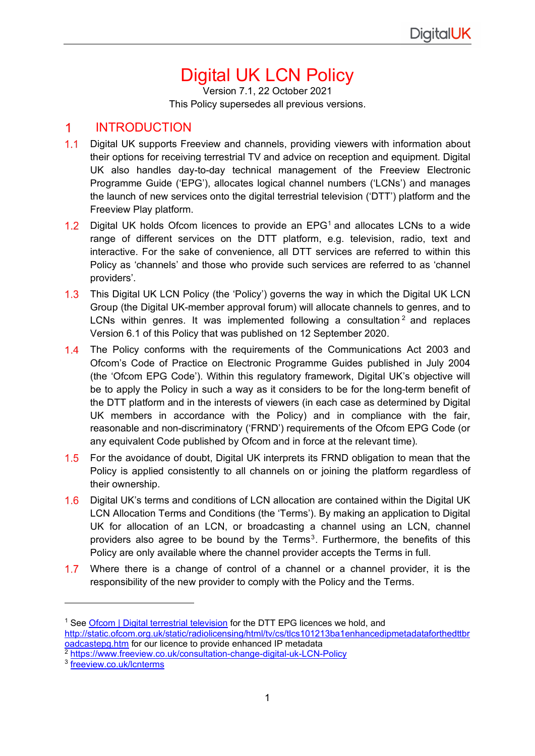# Digital UK LCN Policy

Version 7.1, 22 October 2021 This Policy supersedes all previous versions.

### $\mathbf 1$ **INTRODUCTION**

- $1.1$ Digital UK supports Freeview and channels, providing viewers with information about their options for receiving terrestrial TV and advice on reception and equipment. Digital UK also handles day-to-day technical management of the Freeview Electronic Programme Guide ('EPG'), allocates logical channel numbers ('LCNs') and manages the launch of new services onto the digital terrestrial television ('DTT') platform and the Freeview Play platform.
- [1](#page-0-0).2 Digital UK holds Ofcom licences to provide an  $EPG<sup>1</sup>$  and allocates LCNs to a wide range of different services on the DTT platform, e.g. television, radio, text and interactive. For the sake of convenience, all DTT services are referred to within this Policy as 'channels' and those who provide such services are referred to as 'channel providers'.
- This Digital UK LCN Policy (the 'Policy') governs the way in which the Digital UK LCN  $1.3$ Group (the Digital UK-member approval forum) will allocate channels to genres, and to LCNs within genres. It was implemented following a consultation  $2$  and replaces Version 6.1 of this Policy that was published on 12 September 2020.
- 1.4 The Policy conforms with the requirements of the Communications Act 2003 and Ofcom's Code of Practice on Electronic Programme Guides published in July 2004 (the 'Ofcom EPG Code'). Within this regulatory framework, Digital UK's objective will be to apply the Policy in such a way as it considers to be for the long-term benefit of the DTT platform and in the interests of viewers (in each case as determined by Digital UK members in accordance with the Policy) and in compliance with the fair, reasonable and non-discriminatory ('FRND') requirements of the Ofcom EPG Code (or any equivalent Code published by Ofcom and in force at the relevant time).
- $1.5$ For the avoidance of doubt, Digital UK interprets its FRND obligation to mean that the Policy is applied consistently to all channels on or joining the platform regardless of their ownership.
- $1.6$ Digital UK's terms and conditions of LCN allocation are contained within the Digital UK LCN Allocation Terms and Conditions (the 'Terms'). By making an application to Digital UK for allocation of an LCN, or broadcasting a channel using an LCN, channel providers also agree to be bound by the Terms<sup>[3](#page-0-2)</sup>. Furthermore, the benefits of this Policy are only available where the channel provider accepts the Terms in full.
- 1.7 Where there is a change of control of a channel or a channel provider, it is the responsibility of the new provider to comply with the Policy and the Terms.

<span id="page-0-0"></span><sup>&</sup>lt;sup>1</sup> See [Ofcom | Digital terrestrial television](http://static.ofcom.org.uk/static/radiolicensing/html/tv/cs/dtasdtps-main.htm) for the DTT EPG licences we hold, and [http://static.ofcom.org.uk/static/radiolicensing/html/tv/cs/tlcs101213ba1enhancedipmetadataforthedttbr](http://static.ofcom.org.uk/static/radiolicensing/html/tv/cs/tlcs101213ba1enhancedipmetadataforthedttbroadcastepg.htm) [oadcastepg.htm](http://static.ofcom.org.uk/static/radiolicensing/html/tv/cs/tlcs101213ba1enhancedipmetadataforthedttbroadcastepg.htm) for our licence to provide enhanced IP metadata

<span id="page-0-1"></span><sup>2</sup> <https://www.freeview.co.uk/consultation-change-digital-uk-LCN-Policy>

<span id="page-0-2"></span><sup>3</sup> [freeview.co.uk/lcnterms](https://www.freeview.co.uk/lcnterms)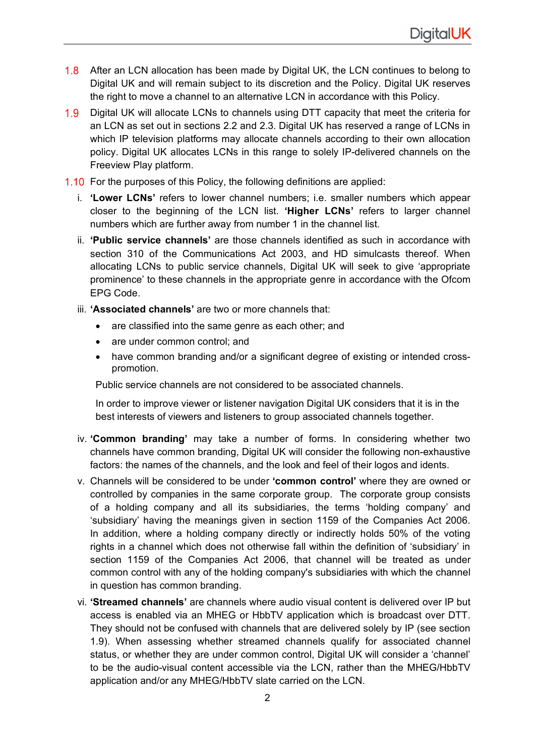- 1.8 After an LCN allocation has been made by Digital UK, the LCN continues to belong to Digital UK and will remain subject to its discretion and the Policy. Digital UK reserves the right to move a channel to an alternative LCN in accordance with this Policy.
- 1.9 Digital UK will allocate LCNs to channels using DTT capacity that meet the criteria for an LCN as set out in sections 2.2 and 2.3. Digital UK has reserved a range of LCNs in which IP television platforms may allocate channels according to their own allocation policy. Digital UK allocates LCNs in this range to solely IP-delivered channels on the Freeview Play platform.
- 1.10 For the purposes of this Policy, the following definitions are applied:
	- i. **'Lower LCNs'** refers to lower channel numbers; i.e. smaller numbers which appear closer to the beginning of the LCN list. **'Higher LCNs'** refers to larger channel numbers which are further away from number 1 in the channel list.
	- ii. **'Public service channels'** are those channels identified as such in accordance with section 310 of the Communications Act 2003, and HD simulcasts thereof. When allocating LCNs to public service channels, Digital UK will seek to give 'appropriate prominence' to these channels in the appropriate genre in accordance with the Ofcom EPG Code.
	- iii. **'Associated channels'** are two or more channels that:
		- are classified into the same genre as each other; and
		- are under common control; and
		- have common branding and/or a significant degree of existing or intended crosspromotion.

Public service channels are not considered to be associated channels.

In order to improve viewer or listener navigation Digital UK considers that it is in the best interests of viewers and listeners to group associated channels together.

- iv. **'Common branding'** may take a number of forms. In considering whether two channels have common branding, Digital UK will consider the following non-exhaustive factors: the names of the channels, and the look and feel of their logos and idents.
- v. Channels will be considered to be under **'common control'** where they are owned or controlled by companies in the same corporate group. The corporate group consists of a holding company and all its subsidiaries, the terms 'holding company' and 'subsidiary' having the meanings given in section 1159 of the Companies Act 2006. In addition, where a holding company directly or indirectly holds 50% of the voting rights in a channel which does not otherwise fall within the definition of 'subsidiary' in section 1159 of the Companies Act 2006, that channel will be treated as under common control with any of the holding company's subsidiaries with which the channel in question has common branding.
- vi. **'Streamed channels'** are channels where audio visual content is delivered over IP but access is enabled via an MHEG or HbbTV application which is broadcast over DTT. They should not be confused with channels that are delivered solely by IP (see section 1.9). When assessing whether streamed channels qualify for associated channel status, or whether they are under common control, Digital UK will consider a 'channel' to be the audio-visual content accessible via the LCN, rather than the MHEG/HbbTV application and/or any MHEG/HbbTV slate carried on the LCN.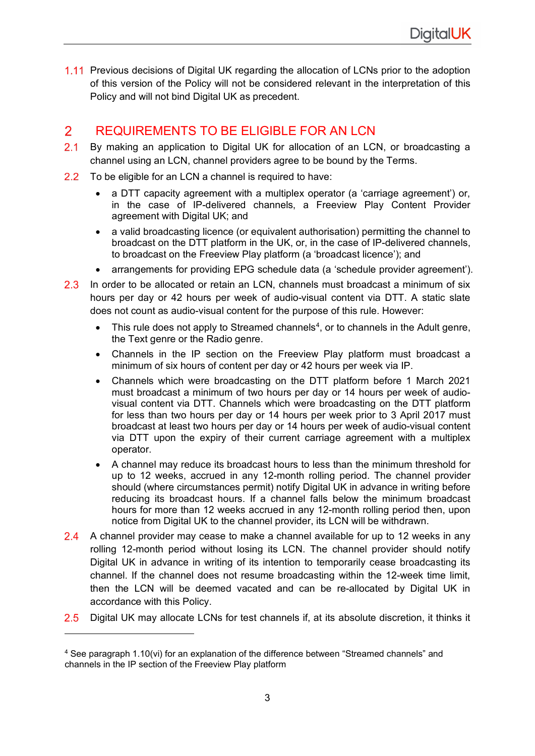1.11 Previous decisions of Digital UK regarding the allocation of LCNs prior to the adoption of this version of the Policy will not be considered relevant in the interpretation of this Policy and will not bind Digital UK as precedent.

### $\overline{2}$ REQUIREMENTS TO BE ELIGIBLE FOR AN LCN

- $2.1$ By making an application to Digital UK for allocation of an LCN, or broadcasting a channel using an LCN, channel providers agree to be bound by the Terms.
- $2.2$ To be eligible for an LCN a channel is required to have:
	- a DTT capacity agreement with a multiplex operator (a 'carriage agreement') or, in the case of IP-delivered channels, a Freeview Play Content Provider agreement with Digital UK; and
	- a valid broadcasting licence (or equivalent authorisation) permitting the channel to broadcast on the DTT platform in the UK, or, in the case of IP-delivered channels, to broadcast on the Freeview Play platform (a 'broadcast licence'); and
	- arrangements for providing EPG schedule data (a 'schedule provider agreement').
- $2.3$ In order to be allocated or retain an LCN, channels must broadcast a minimum of six hours per day or 42 hours per week of audio-visual content via DTT. A static slate does not count as audio-visual content for the purpose of this rule. However:
	- This rule does not apply to Streamed channels<sup>4</sup>, or to channels in the Adult genre, the Text genre or the Radio genre.
	- Channels in the IP section on the Freeview Play platform must broadcast a minimum of six hours of content per day or 42 hours per week via IP.
	- Channels which were broadcasting on the DTT platform before 1 March 2021 must broadcast a minimum of two hours per day or 14 hours per week of audiovisual content via DTT. Channels which were broadcasting on the DTT platform for less than two hours per day or 14 hours per week prior to 3 April 2017 must broadcast at least two hours per day or 14 hours per week of audio-visual content via DTT upon the expiry of their current carriage agreement with a multiplex operator.
	- A channel may reduce its broadcast hours to less than the minimum threshold for up to 12 weeks, accrued in any 12-month rolling period. The channel provider should (where circumstances permit) notify Digital UK in advance in writing before reducing its broadcast hours. If a channel falls below the minimum broadcast hours for more than 12 weeks accrued in any 12-month rolling period then, upon notice from Digital UK to the channel provider, its LCN will be withdrawn.
- 2.4 A channel provider may cease to make a channel available for up to 12 weeks in any rolling 12-month period without losing its LCN. The channel provider should notify Digital UK in advance in writing of its intention to temporarily cease broadcasting its channel. If the channel does not resume broadcasting within the 12-week time limit, then the LCN will be deemed vacated and can be re-allocated by Digital UK in accordance with this Policy.
- $2.5$ Digital UK may allocate LCNs for test channels if, at its absolute discretion, it thinks it

<span id="page-2-0"></span><sup>4</sup> See paragraph 1.10(vi) for an explanation of the difference between "Streamed channels" and channels in the IP section of the Freeview Play platform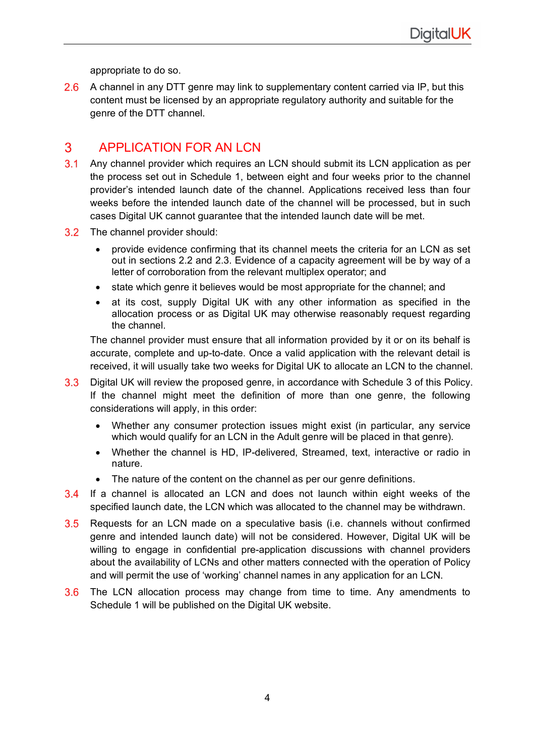appropriate to do so.

2.6 A channel in any DTT genre may link to supplementary content carried via IP, but this content must be licensed by an appropriate regulatory authority and suitable for the genre of the DTT channel.

### $\mathbf{3}$ APPLICATION FOR AN LCN

- $3<sub>1</sub>$ Any channel provider which requires an LCN should submit its LCN application as per the process set out in Schedule 1, between eight and four weeks prior to the channel provider's intended launch date of the channel. Applications received less than four weeks before the intended launch date of the channel will be processed, but in such cases Digital UK cannot guarantee that the intended launch date will be met.
- 3.2 The channel provider should:
	- provide evidence confirming that its channel meets the criteria for an LCN as set out in sections 2.2 and 2.3. Evidence of a capacity agreement will be by way of a letter of corroboration from the relevant multiplex operator; and
	- state which genre it believes would be most appropriate for the channel; and
	- at its cost, supply Digital UK with any other information as specified in the allocation process or as Digital UK may otherwise reasonably request regarding the channel.

The channel provider must ensure that all information provided by it or on its behalf is accurate, complete and up-to-date. Once a valid application with the relevant detail is received, it will usually take two weeks for Digital UK to allocate an LCN to the channel.

- Digital UK will review the proposed genre, in accordance with Schedule 3 of this Policy.  $3.3$ If the channel might meet the definition of more than one genre, the following considerations will apply, in this order:
	- Whether any consumer protection issues might exist (in particular, any service which would qualify for an LCN in the Adult genre will be placed in that genre).
	- Whether the channel is HD, IP-delivered, Streamed, text, interactive or radio in nature.
	- The nature of the content on the channel as per our genre definitions.
- $3.4$ If a channel is allocated an LCN and does not launch within eight weeks of the specified launch date, the LCN which was allocated to the channel may be withdrawn.
- $3.5$ Requests for an LCN made on a speculative basis (i.e. channels without confirmed genre and intended launch date) will not be considered. However, Digital UK will be willing to engage in confidential pre-application discussions with channel providers about the availability of LCNs and other matters connected with the operation of Policy and will permit the use of 'working' channel names in any application for an LCN.
- 3.6 The LCN allocation process may change from time to time. Any amendments to Schedule 1 will be published on the Digital UK website.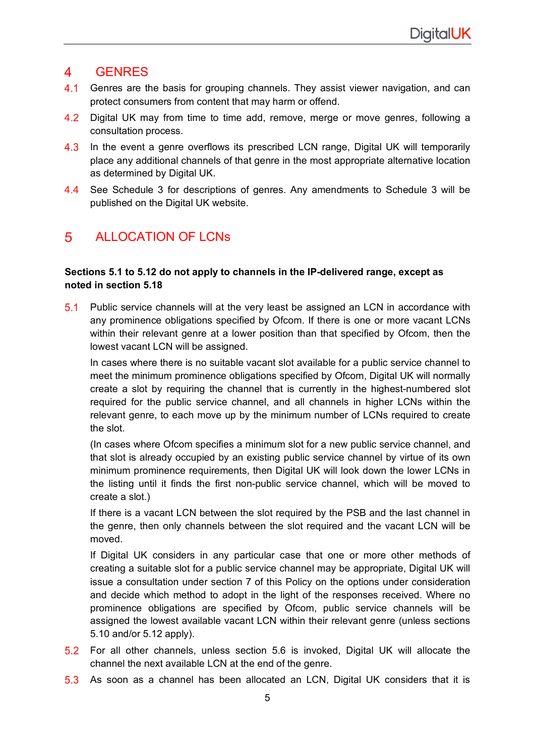### $\overline{4}$ **GENRES**

- $4.1$ Genres are the basis for grouping channels. They assist viewer navigation, and can protect consumers from content that may harm or offend.
- $4.2$ Digital UK may from time to time add, remove, merge or move genres, following a consultation process.
- 4.3 In the event a genre overflows its prescribed LCN range, Digital UK will temporarily place any additional channels of that genre in the most appropriate alternative location as determined by Digital UK.
- 4.4 See Schedule 3 for descriptions of genres. Any amendments to Schedule 3 will be published on the Digital UK website.

### 5 ALLOCATION OF LCNs

## **Sections 5.1 to 5.12 do not apply to channels in the IP-delivered range, except as noted in section 5.18**

5.1 Public service channels will at the very least be assigned an LCN in accordance with any prominence obligations specified by Ofcom. If there is one or more vacant LCNs within their relevant genre at a lower position than that specified by Ofcom, then the lowest vacant LCN will be assigned.

In cases where there is no suitable vacant slot available for a public service channel to meet the minimum prominence obligations specified by Ofcom, Digital UK will normally create a slot by requiring the channel that is currently in the highest-numbered slot required for the public service channel, and all channels in higher LCNs within the relevant genre, to each move up by the minimum number of LCNs required to create the slot.

(In cases where Ofcom specifies a minimum slot for a new public service channel, and that slot is already occupied by an existing public service channel by virtue of its own minimum prominence requirements, then Digital UK will look down the lower LCNs in the listing until it finds the first non-public service channel, which will be moved to create a slot.)

If there is a vacant LCN between the slot required by the PSB and the last channel in the genre, then only channels between the slot required and the vacant LCN will be moved.

If Digital UK considers in any particular case that one or more other methods of creating a suitable slot for a public service channel may be appropriate, Digital UK will issue a consultation under section 7 of this Policy on the options under consideration and decide which method to adopt in the light of the responses received. Where no prominence obligations are specified by Ofcom, public service channels will be assigned the lowest available vacant LCN within their relevant genre (unless sections 5.10 and/or 5.12 apply).

- For all other channels, unless section 5.6 is invoked, Digital UK will allocate the channel the next available LCN at the end of the genre.
- 5.3 As soon as a channel has been allocated an LCN, Digital UK considers that it is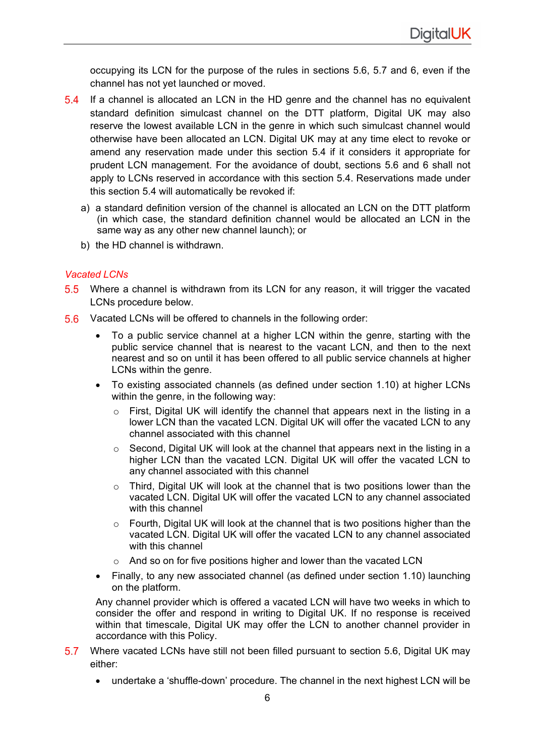occupying its LCN for the purpose of the rules in sections 5.6, 5.7 and 6, even if the channel has not yet launched or moved.

- If a channel is allocated an LCN in the HD genre and the channel has no equivalent  $5.4$ standard definition simulcast channel on the DTT platform, Digital UK may also reserve the lowest available LCN in the genre in which such simulcast channel would otherwise have been allocated an LCN. Digital UK may at any time elect to revoke or amend any reservation made under this section 5.4 if it considers it appropriate for prudent LCN management. For the avoidance of doubt, sections 5.6 and 6 shall not apply to LCNs reserved in accordance with this section 5.4. Reservations made under this section 5.4 will automatically be revoked if:
	- a) a standard definition version of the channel is allocated an LCN on the DTT platform (in which case, the standard definition channel would be allocated an LCN in the same way as any other new channel launch); or
	- b) the HD channel is withdrawn.

## *Vacated LCNs*

- 5.5 Where a channel is withdrawn from its LCN for any reason, it will trigger the vacated LCNs procedure below.
- $5.6$ Vacated LCNs will be offered to channels in the following order:
	- To a public service channel at a higher LCN within the genre, starting with the public service channel that is nearest to the vacant LCN, and then to the next nearest and so on until it has been offered to all public service channels at higher LCNs within the genre.
	- To existing associated channels (as defined under section 1.10) at higher LCNs within the genre, in the following way:
		- o First, Digital UK will identify the channel that appears next in the listing in a lower LCN than the vacated LCN. Digital UK will offer the vacated LCN to any channel associated with this channel
		- $\circ$  Second, Digital UK will look at the channel that appears next in the listing in a higher LCN than the vacated LCN. Digital UK will offer the vacated LCN to any channel associated with this channel
		- o Third, Digital UK will look at the channel that is two positions lower than the vacated LCN. Digital UK will offer the vacated LCN to any channel associated with this channel
		- $\circ$  Fourth, Digital UK will look at the channel that is two positions higher than the vacated LCN. Digital UK will offer the vacated LCN to any channel associated with this channel
		- o And so on for five positions higher and lower than the vacated LCN
	- Finally, to any new associated channel (as defined under section 1.10) launching on the platform.

Any channel provider which is offered a vacated LCN will have two weeks in which to consider the offer and respond in writing to Digital UK. If no response is received within that timescale, Digital UK may offer the LCN to another channel provider in accordance with this Policy.

- 5.7 Where vacated LCNs have still not been filled pursuant to section 5.6, Digital UK may either:
	- undertake a 'shuffle-down' procedure. The channel in the next highest LCN will be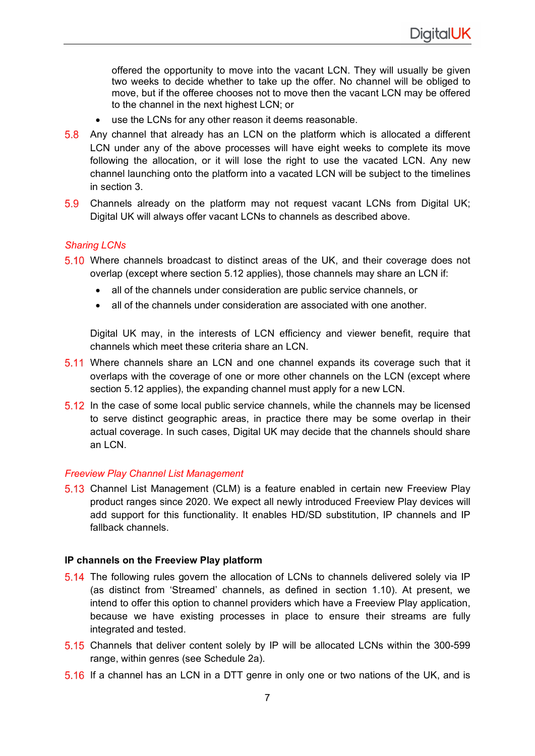offered the opportunity to move into the vacant LCN. They will usually be given two weeks to decide whether to take up the offer. No channel will be obliged to move, but if the offeree chooses not to move then the vacant LCN may be offered to the channel in the next highest LCN; or

- use the LCNs for any other reason it deems reasonable.
- 5.8 Any channel that already has an LCN on the platform which is allocated a different LCN under any of the above processes will have eight weeks to complete its move following the allocation, or it will lose the right to use the vacated LCN. Any new channel launching onto the platform into a vacated LCN will be subject to the timelines in section 3.
- $5.9$ Channels already on the platform may not request vacant LCNs from Digital UK; Digital UK will always offer vacant LCNs to channels as described above.

## *Sharing LCNs*

- 5.10 Where channels broadcast to distinct areas of the UK, and their coverage does not overlap (except where section 5.12 applies), those channels may share an LCN if:
	- all of the channels under consideration are public service channels, or
	- all of the channels under consideration are associated with one another.

Digital UK may, in the interests of LCN efficiency and viewer benefit, require that channels which meet these criteria share an LCN.

- Where channels share an LCN and one channel expands its coverage such that it overlaps with the coverage of one or more other channels on the LCN (except where section 5.12 applies), the expanding channel must apply for a new LCN.
- $5.12$  In the case of some local public service channels, while the channels may be licensed to serve distinct geographic areas, in practice there may be some overlap in their actual coverage. In such cases, Digital UK may decide that the channels should share an LCN.

## *Freeview Play Channel List Management*

5.13 Channel List Management (CLM) is a feature enabled in certain new Freeview Play product ranges since 2020. We expect all newly introduced Freeview Play devices will add support for this functionality. It enables HD/SD substitution, IP channels and IP fallback channels.

## **IP channels on the Freeview Play platform**

- 5.14 The following rules govern the allocation of LCNs to channels delivered solely via IP (as distinct from 'Streamed' channels, as defined in section 1.10). At present, we intend to offer this option to channel providers which have a Freeview Play application, because we have existing processes in place to ensure their streams are fully integrated and tested.
- 5.15 Channels that deliver content solely by IP will be allocated LCNs within the 300-599 range, within genres (see Schedule 2a).
- 5.16 If a channel has an LCN in a DTT genre in only one or two nations of the UK, and is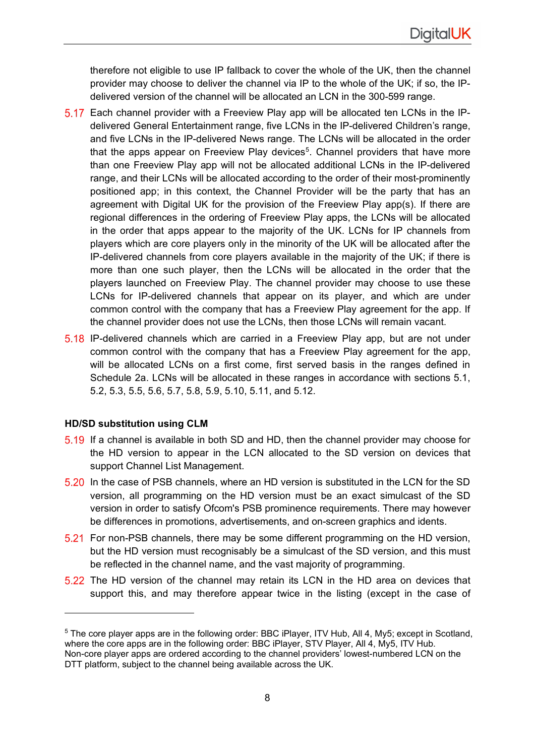therefore not eligible to use IP fallback to cover the whole of the UK, then the channel provider may choose to deliver the channel via IP to the whole of the UK; if so, the IPdelivered version of the channel will be allocated an LCN in the 300-599 range.

- Each channel provider with a Freeview Play app will be allocated ten LCNs in the IPdelivered General Entertainment range, five LCNs in the IP-delivered Children's range, and five LCNs in the IP-delivered News range. The LCNs will be allocated in the order that the apps appear on Freeview Play devices<sup>[5](#page-7-0)</sup>. Channel providers that have more than one Freeview Play app will not be allocated additional LCNs in the IP-delivered range, and their LCNs will be allocated according to the order of their most-prominently positioned app; in this context, the Channel Provider will be the party that has an agreement with Digital UK for the provision of the Freeview Play app(s). If there are regional differences in the ordering of Freeview Play apps, the LCNs will be allocated in the order that apps appear to the majority of the UK. LCNs for IP channels from players which are core players only in the minority of the UK will be allocated after the IP-delivered channels from core players available in the majority of the UK; if there is more than one such player, then the LCNs will be allocated in the order that the players launched on Freeview Play. The channel provider may choose to use these LCNs for IP-delivered channels that appear on its player, and which are under common control with the company that has a Freeview Play agreement for the app. If the channel provider does not use the LCNs, then those LCNs will remain vacant.
- 5.18 IP-delivered channels which are carried in a Freeview Play app, but are not under common control with the company that has a Freeview Play agreement for the app, will be allocated LCNs on a first come, first served basis in the ranges defined in Schedule 2a. LCNs will be allocated in these ranges in accordance with sections 5.1, 5.2, 5.3, 5.5, 5.6, 5.7, 5.8, 5.9, 5.10, 5.11, and 5.12.

## **HD/SD substitution using CLM**

- 5.19 If a channel is available in both SD and HD, then the channel provider may choose for the HD version to appear in the LCN allocated to the SD version on devices that support Channel List Management.
- 5.20 In the case of PSB channels, where an HD version is substituted in the LCN for the SD version, all programming on the HD version must be an exact simulcast of the SD version in order to satisfy Ofcom's PSB prominence requirements. There may however be differences in promotions, advertisements, and on-screen graphics and idents.
- For non-PSB channels, there may be some different programming on the HD version, but the HD version must recognisably be a simulcast of the SD version, and this must be reflected in the channel name, and the vast majority of programming.
- 5.22 The HD version of the channel may retain its LCN in the HD area on devices that support this, and may therefore appear twice in the listing (except in the case of

<span id="page-7-0"></span><sup>5</sup> The core player apps are in the following order: BBC iPlayer, ITV Hub, All 4, My5; except in Scotland, where the core apps are in the following order: BBC iPlayer, STV Player, All 4, My5, ITV Hub. Non-core player apps are ordered according to the channel providers' lowest-numbered LCN on the DTT platform, subject to the channel being available across the UK.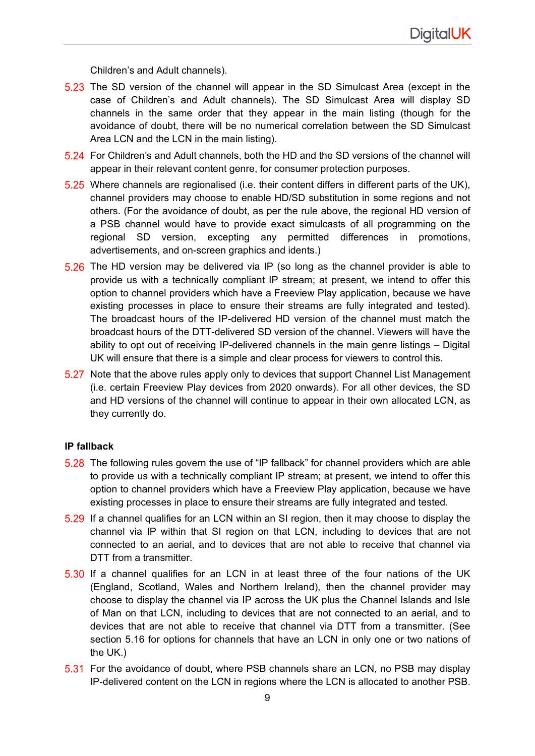Children's and Adult channels).

- 5.23 The SD version of the channel will appear in the SD Simulcast Area (except in the case of Children's and Adult channels). The SD Simulcast Area will display SD channels in the same order that they appear in the main listing (though for the avoidance of doubt, there will be no numerical correlation between the SD Simulcast Area LCN and the LCN in the main listing).
- For Children's and Adult channels, both the HD and the SD versions of the channel will appear in their relevant content genre, for consumer protection purposes.
- $5.25$  Where channels are regionalised (i.e. their content differs in different parts of the UK), channel providers may choose to enable HD/SD substitution in some regions and not others. (For the avoidance of doubt, as per the rule above, the regional HD version of a PSB channel would have to provide exact simulcasts of all programming on the regional SD version, excepting any permitted differences in promotions, advertisements, and on-screen graphics and idents.)
- $5.26$  The HD version may be delivered via IP (so long as the channel provider is able to provide us with a technically compliant IP stream; at present, we intend to offer this option to channel providers which have a Freeview Play application, because we have existing processes in place to ensure their streams are fully integrated and tested). The broadcast hours of the IP-delivered HD version of the channel must match the broadcast hours of the DTT-delivered SD version of the channel. Viewers will have the ability to opt out of receiving IP-delivered channels in the main genre listings – Digital UK will ensure that there is a simple and clear process for viewers to control this.
- 5.27 Note that the above rules apply only to devices that support Channel List Management (i.e. certain Freeview Play devices from 2020 onwards). For all other devices, the SD and HD versions of the channel will continue to appear in their own allocated LCN, as they currently do.

## **IP fallback**

- 5.28 The following rules govern the use of "IP fallback" for channel providers which are able to provide us with a technically compliant IP stream; at present, we intend to offer this option to channel providers which have a Freeview Play application, because we have existing processes in place to ensure their streams are fully integrated and tested.
- 5.29 If a channel qualifies for an LCN within an SI region, then it may choose to display the channel via IP within that SI region on that LCN, including to devices that are not connected to an aerial, and to devices that are not able to receive that channel via DTT from a transmitter.
- 5.30 If a channel qualifies for an LCN in at least three of the four nations of the UK (England, Scotland, Wales and Northern Ireland), then the channel provider may choose to display the channel via IP across the UK plus the Channel Islands and Isle of Man on that LCN, including to devices that are not connected to an aerial, and to devices that are not able to receive that channel via DTT from a transmitter. (See section 5.16 for options for channels that have an LCN in only one or two nations of the UK.)
- 5.31 For the avoidance of doubt, where PSB channels share an LCN, no PSB may display IP-delivered content on the LCN in regions where the LCN is allocated to another PSB.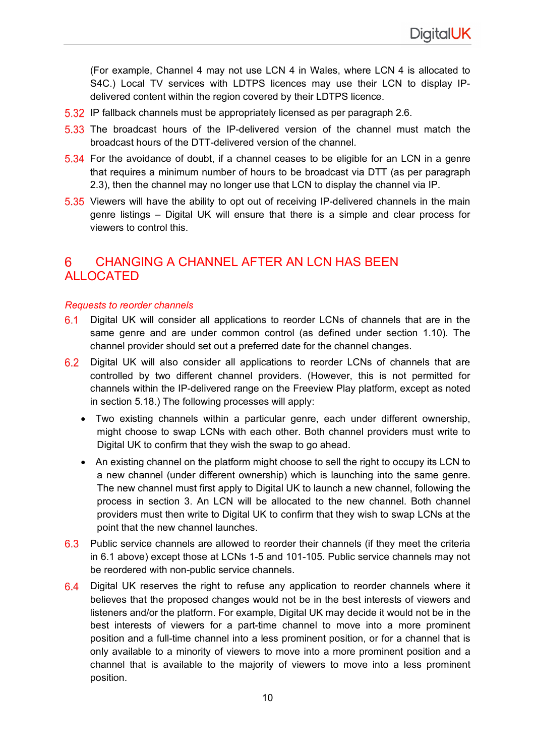(For example, Channel 4 may not use LCN 4 in Wales, where LCN 4 is allocated to S4C.) Local TV services with LDTPS licences may use their LCN to display IPdelivered content within the region covered by their LDTPS licence.

- 5.32 IP fallback channels must be appropriately licensed as per paragraph 2.6.
- 5.33 The broadcast hours of the IP-delivered version of the channel must match the broadcast hours of the DTT-delivered version of the channel.
- For the avoidance of doubt, if a channel ceases to be eligible for an LCN in a genre that requires a minimum number of hours to be broadcast via DTT (as per paragraph 2.3), then the channel may no longer use that LCN to display the channel via IP.
- 5.35 Viewers will have the ability to opt out of receiving IP-delivered channels in the main genre listings – Digital UK will ensure that there is a simple and clear process for viewers to control this.

### CHANGING A CHANNEL AFTER AN LCN HAS BEEN 6 ALLOCATED

## *Requests to reorder channels*

- $6.1$ Digital UK will consider all applications to reorder LCNs of channels that are in the same genre and are under common control (as defined under section 1.10). The channel provider should set out a preferred date for the channel changes.
- 6.2 Digital UK will also consider all applications to reorder LCNs of channels that are controlled by two different channel providers. (However, this is not permitted for channels within the IP-delivered range on the Freeview Play platform, except as noted in section 5.18.) The following processes will apply:
	- Two existing channels within a particular genre, each under different ownership, might choose to swap LCNs with each other. Both channel providers must write to Digital UK to confirm that they wish the swap to go ahead.
	- An existing channel on the platform might choose to sell the right to occupy its LCN to a new channel (under different ownership) which is launching into the same genre. The new channel must first apply to Digital UK to launch a new channel, following the process in section 3. An LCN will be allocated to the new channel. Both channel providers must then write to Digital UK to confirm that they wish to swap LCNs at the point that the new channel launches.
- 6.3 Public service channels are allowed to reorder their channels (if they meet the criteria in 6.1 above) except those at LCNs 1-5 and 101-105. Public service channels may not be reordered with non-public service channels.
- 6.4 Digital UK reserves the right to refuse any application to reorder channels where it believes that the proposed changes would not be in the best interests of viewers and listeners and/or the platform. For example, Digital UK may decide it would not be in the best interests of viewers for a part-time channel to move into a more prominent position and a full-time channel into a less prominent position, or for a channel that is only available to a minority of viewers to move into a more prominent position and a channel that is available to the majority of viewers to move into a less prominent position.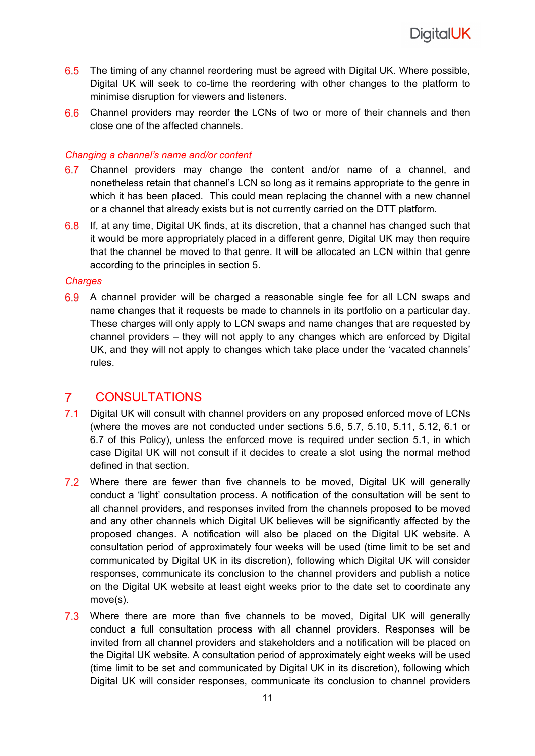- 6.5 The timing of any channel reordering must be agreed with Digital UK. Where possible, Digital UK will seek to co-time the reordering with other changes to the platform to minimise disruption for viewers and listeners.
- 6.6 Channel providers may reorder the LCNs of two or more of their channels and then close one of the affected channels.

## *Changing a channel's name and/or content*

- 6.7 Channel providers may change the content and/or name of a channel, and nonetheless retain that channel's LCN so long as it remains appropriate to the genre in which it has been placed. This could mean replacing the channel with a new channel or a channel that already exists but is not currently carried on the DTT platform.
- 6.8 If, at any time, Digital UK finds, at its discretion, that a channel has changed such that it would be more appropriately placed in a different genre, Digital UK may then require that the channel be moved to that genre. It will be allocated an LCN within that genre according to the principles in section 5.

## *Charges*

6.9 A channel provider will be charged a reasonable single fee for all LCN swaps and name changes that it requests be made to channels in its portfolio on a particular day. These charges will only apply to LCN swaps and name changes that are requested by channel providers – they will not apply to any changes which are enforced by Digital UK, and they will not apply to changes which take place under the 'vacated channels' rules.

#### $\mathbf{7}$ **CONSULTATIONS**

- $7.1$ Digital UK will consult with channel providers on any proposed enforced move of LCNs (where the moves are not conducted under sections 5.6, 5.7, 5.10, 5.11, 5.12, 6.1 or 6.7 of this Policy), unless the enforced move is required under section 5.1, in which case Digital UK will not consult if it decides to create a slot using the normal method defined in that section.
- 7.2 Where there are fewer than five channels to be moved, Digital UK will generally conduct a 'light' consultation process. A notification of the consultation will be sent to all channel providers, and responses invited from the channels proposed to be moved and any other channels which Digital UK believes will be significantly affected by the proposed changes. A notification will also be placed on the Digital UK website. A consultation period of approximately four weeks will be used (time limit to be set and communicated by Digital UK in its discretion), following which Digital UK will consider responses, communicate its conclusion to the channel providers and publish a notice on the Digital UK website at least eight weeks prior to the date set to coordinate any move(s).
- Where there are more than five channels to be moved, Digital UK will generally  $7.3$ conduct a full consultation process with all channel providers. Responses will be invited from all channel providers and stakeholders and a notification will be placed on the Digital UK website. A consultation period of approximately eight weeks will be used (time limit to be set and communicated by Digital UK in its discretion), following which Digital UK will consider responses, communicate its conclusion to channel providers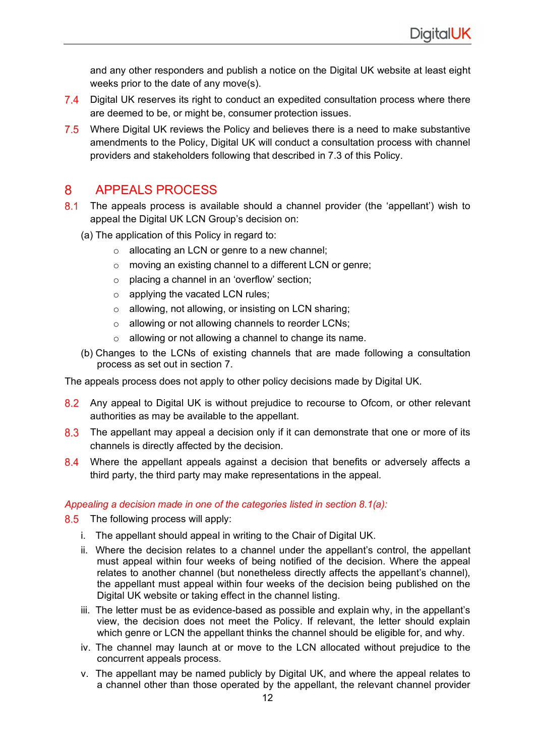and any other responders and publish a notice on the Digital UK website at least eight weeks prior to the date of any move(s).

- 7.4 Digital UK reserves its right to conduct an expedited consultation process where there are deemed to be, or might be, consumer protection issues.
- 7.5 Where Digital UK reviews the Policy and believes there is a need to make substantive amendments to the Policy, Digital UK will conduct a consultation process with channel providers and stakeholders following that described in 7.3 of this Policy.

### APPEALS PROCESS 8

- 8.1 The appeals process is available should a channel provider (the 'appellant') wish to appeal the Digital UK LCN Group's decision on:
	- (a) The application of this Policy in regard to:
		- o allocating an LCN or genre to a new channel;
		- o moving an existing channel to a different LCN or genre;
		- o placing a channel in an 'overflow' section;
		- $\circ$  applying the vacated LCN rules;
		- o allowing, not allowing, or insisting on LCN sharing;
		- o allowing or not allowing channels to reorder LCNs;
		- o allowing or not allowing a channel to change its name.
	- (b) Changes to the LCNs of existing channels that are made following a consultation process as set out in section 7.

The appeals process does not apply to other policy decisions made by Digital UK.

- 8.2 Any appeal to Digital UK is without prejudice to recourse to Ofcom, or other relevant authorities as may be available to the appellant.
- 8.3 The appellant may appeal a decision only if it can demonstrate that one or more of its channels is directly affected by the decision.
- 8.4 Where the appellant appeals against a decision that benefits or adversely affects a third party, the third party may make representations in the appeal.

## *Appealing a decision made in one of the categories listed in section 8.1(a):*

- 8.5 The following process will apply:
	- i. The appellant should appeal in writing to the Chair of Digital UK.
	- ii. Where the decision relates to a channel under the appellant's control, the appellant must appeal within four weeks of being notified of the decision. Where the appeal relates to another channel (but nonetheless directly affects the appellant's channel), the appellant must appeal within four weeks of the decision being published on the Digital UK website or taking effect in the channel listing.
	- iii. The letter must be as evidence-based as possible and explain why, in the appellant's view, the decision does not meet the Policy. If relevant, the letter should explain which genre or LCN the appellant thinks the channel should be eligible for, and why.
	- iv. The channel may launch at or move to the LCN allocated without prejudice to the concurrent appeals process.
	- v. The appellant may be named publicly by Digital UK, and where the appeal relates to a channel other than those operated by the appellant, the relevant channel provider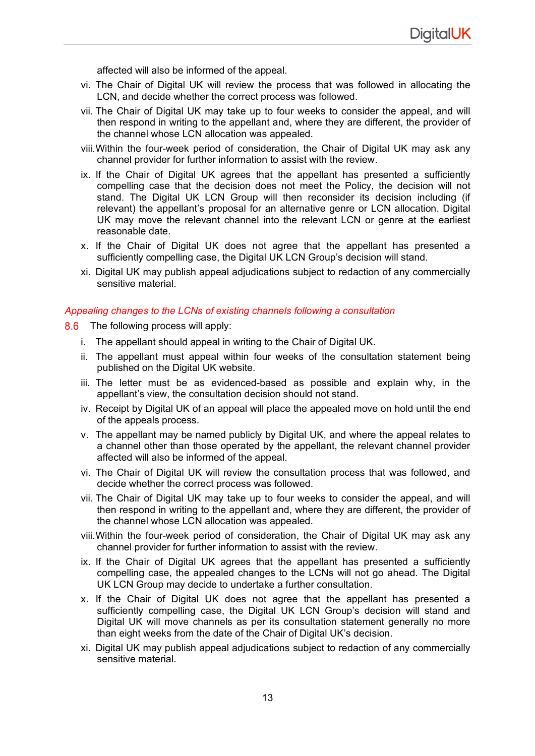affected will also be informed of the appeal.

- vi. The Chair of Digital UK will review the process that was followed in allocating the LCN, and decide whether the correct process was followed.
- vii. The Chair of Digital UK may take up to four weeks to consider the appeal, and will then respond in writing to the appellant and, where they are different, the provider of the channel whose LCN allocation was appealed.
- viii.Within the four-week period of consideration, the Chair of Digital UK may ask any channel provider for further information to assist with the review.
- ix. If the Chair of Digital UK agrees that the appellant has presented a sufficiently compelling case that the decision does not meet the Policy, the decision will not stand. The Digital UK LCN Group will then reconsider its decision including (if relevant) the appellant's proposal for an alternative genre or LCN allocation. Digital UK may move the relevant channel into the relevant LCN or genre at the earliest reasonable date.
- x. If the Chair of Digital UK does not agree that the appellant has presented a sufficiently compelling case, the Digital UK LCN Group's decision will stand.
- xi. Digital UK may publish appeal adjudications subject to redaction of any commercially sensitive material.

## *Appealing changes to the LCNs of existing channels following a consultation*

- 8.6 The following process will apply:
	- i. The appellant should appeal in writing to the Chair of Digital UK.
	- ii. The appellant must appeal within four weeks of the consultation statement being published on the Digital UK website.
	- iii. The letter must be as evidenced-based as possible and explain why, in the appellant's view, the consultation decision should not stand.
	- iv. Receipt by Digital UK of an appeal will place the appealed move on hold until the end of the appeals process.
	- v. The appellant may be named publicly by Digital UK, and where the appeal relates to a channel other than those operated by the appellant, the relevant channel provider affected will also be informed of the appeal.
	- vi. The Chair of Digital UK will review the consultation process that was followed, and decide whether the correct process was followed.
	- vii. The Chair of Digital UK may take up to four weeks to consider the appeal, and will then respond in writing to the appellant and, where they are different, the provider of the channel whose LCN allocation was appealed.
	- viii.Within the four-week period of consideration, the Chair of Digital UK may ask any channel provider for further information to assist with the review.
	- ix. If the Chair of Digital UK agrees that the appellant has presented a sufficiently compelling case, the appealed changes to the LCNs will not go ahead. The Digital UK LCN Group may decide to undertake a further consultation.
	- x. If the Chair of Digital UK does not agree that the appellant has presented a sufficiently compelling case, the Digital UK LCN Group's decision will stand and Digital UK will move channels as per its consultation statement generally no more than eight weeks from the date of the Chair of Digital UK's decision.
	- xi. Digital UK may publish appeal adjudications subject to redaction of any commercially sensitive material.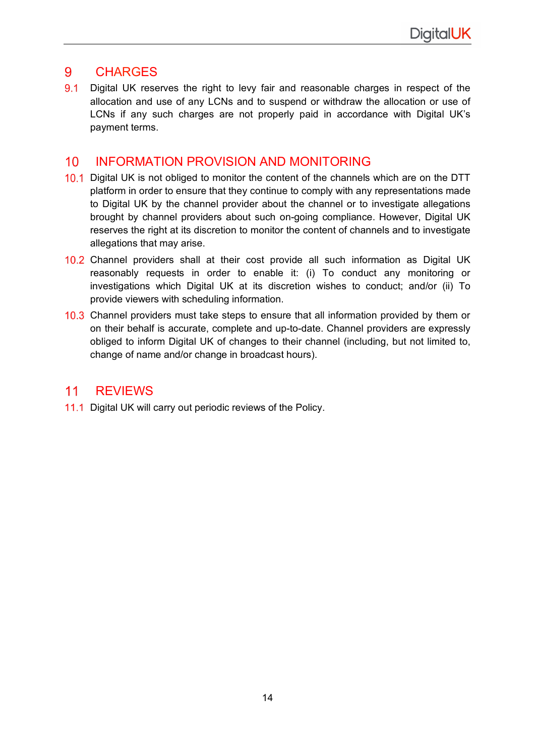### 9 **CHARGES**

 $9.1$ Digital UK reserves the right to levy fair and reasonable charges in respect of the allocation and use of any LCNs and to suspend or withdraw the allocation or use of LCNs if any such charges are not properly paid in accordance with Digital UK's payment terms.

### $10<sup>°</sup>$ INFORMATION PROVISION AND MONITORING

- 10.1 Digital UK is not obliged to monitor the content of the channels which are on the DTT platform in order to ensure that they continue to comply with any representations made to Digital UK by the channel provider about the channel or to investigate allegations brought by channel providers about such on-going compliance. However, Digital UK reserves the right at its discretion to monitor the content of channels and to investigate allegations that may arise.
- 10.2 Channel providers shall at their cost provide all such information as Digital UK reasonably requests in order to enable it: (i) To conduct any monitoring or investigations which Digital UK at its discretion wishes to conduct; and/or (ii) To provide viewers with scheduling information.
- 10.3 Channel providers must take steps to ensure that all information provided by them or on their behalf is accurate, complete and up-to-date. Channel providers are expressly obliged to inform Digital UK of changes to their channel (including, but not limited to, change of name and/or change in broadcast hours).

### $11$ **REVIEWS**

11.1 Digital UK will carry out periodic reviews of the Policy.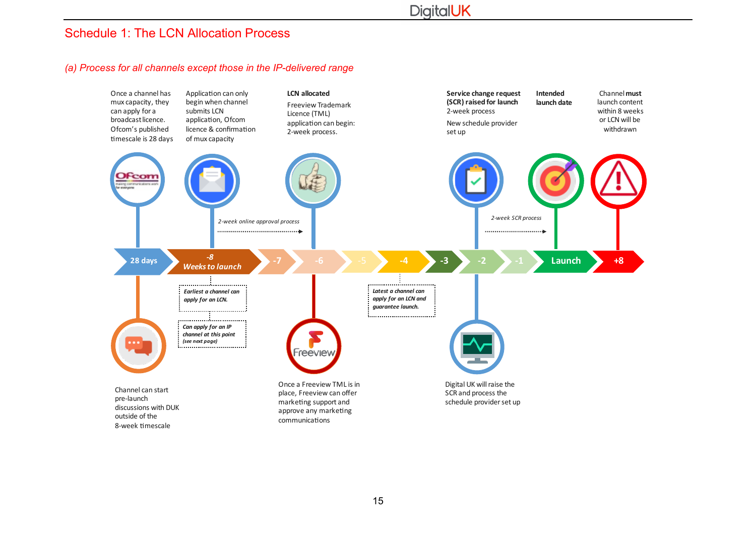## Schedule 1: The LCN Allocation Process

### *(a) Process for all channels except those in the IP-delivered range*

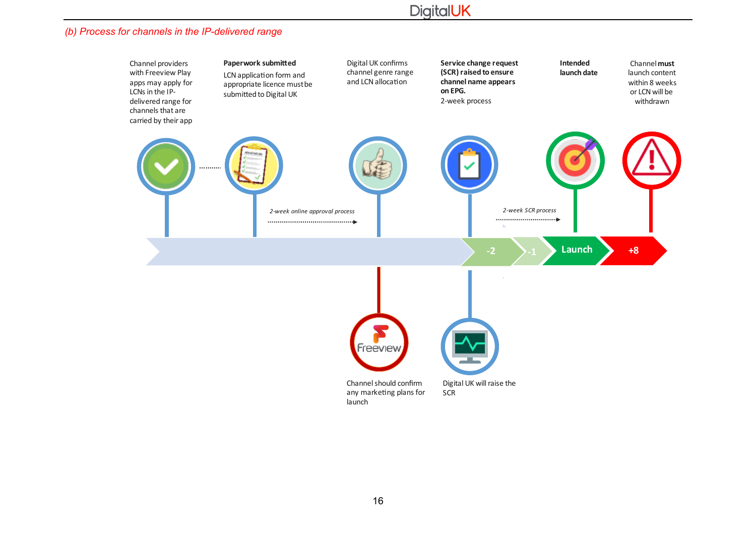# **DigitalUK**

## *(b) Process for channels in the IP-delivered range*

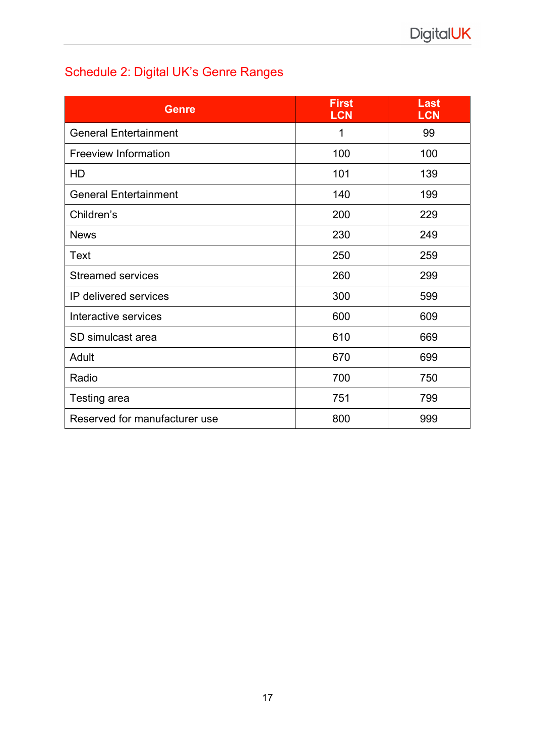# Schedule 2: Digital UK's Genre Ranges

| <b>Genre</b>                  | <b>First</b><br><b>LCN</b> | Last<br><b>LCN</b> |
|-------------------------------|----------------------------|--------------------|
| <b>General Entertainment</b>  | 1                          | 99                 |
| <b>Freeview Information</b>   | 100                        | 100                |
| HD                            | 101                        | 139                |
| <b>General Entertainment</b>  | 140                        | 199                |
| Children's                    | 200                        | 229                |
| <b>News</b>                   | 230                        | 249                |
| Text                          | 250                        | 259                |
| <b>Streamed services</b>      | 260                        | 299                |
| IP delivered services         | 300                        | 599                |
| Interactive services          | 600                        | 609                |
| SD simulcast area             | 610                        | 669                |
| Adult                         | 670                        | 699                |
| Radio                         | 700                        | 750                |
| Testing area                  | 751                        | 799                |
| Reserved for manufacturer use | 800                        | 999                |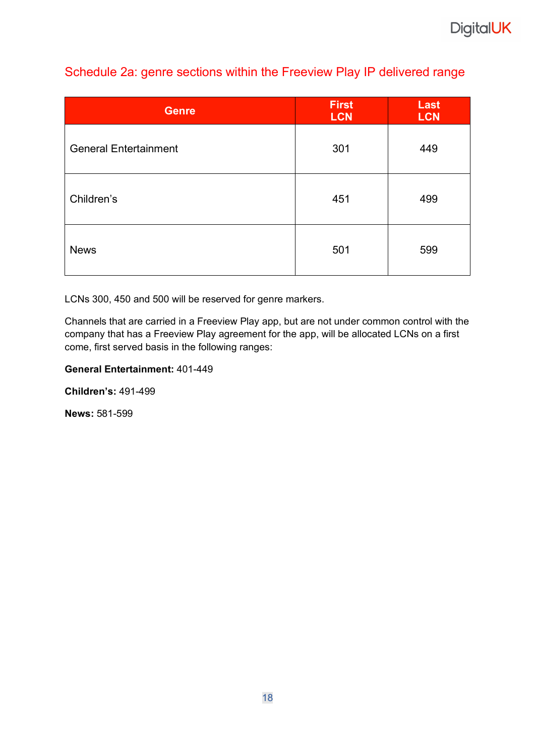## Schedule 2a: genre sections within the Freeview Play IP delivered range

| <b>Genre</b>                 | <b>First</b><br><b>LCN</b> | Last<br><b>LCN</b> |
|------------------------------|----------------------------|--------------------|
| <b>General Entertainment</b> | 301                        | 449                |
| Children's                   | 451                        | 499                |
| <b>News</b>                  | 501                        | 599                |

LCNs 300, 450 and 500 will be reserved for genre markers.

Channels that are carried in a Freeview Play app, but are not under common control with the company that has a Freeview Play agreement for the app, will be allocated LCNs on a first come, first served basis in the following ranges:

## **General Entertainment:** 401-449

**Children's:** 491-499

**News:** 581-599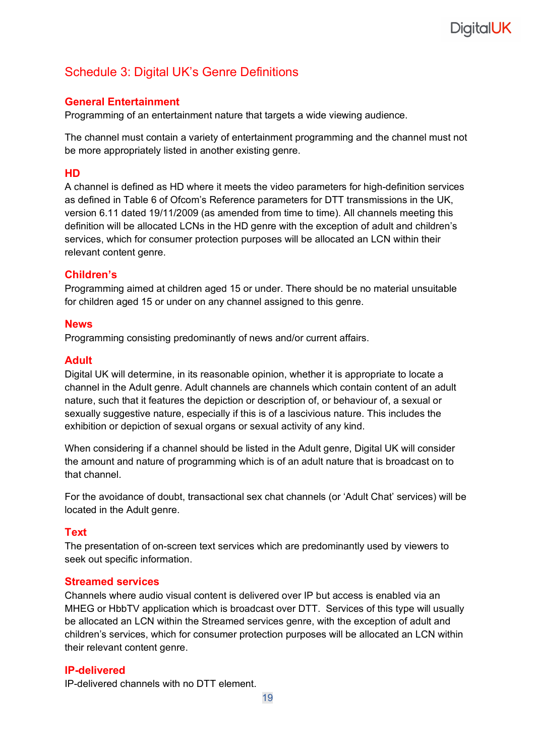# **DigitalUK**

## Schedule 3: Digital UK's Genre Definitions

## **General Entertainment**

Programming of an entertainment nature that targets a wide viewing audience.

The channel must contain a variety of entertainment programming and the channel must not be more appropriately listed in another existing genre.

## **HD**

A channel is defined as HD where it meets the video parameters for high-definition services as defined in Table 6 of Ofcom's Reference parameters for DTT transmissions in the UK, version 6.11 dated 19/11/2009 (as amended from time to time). All channels meeting this definition will be allocated LCNs in the HD genre with the exception of adult and children's services, which for consumer protection purposes will be allocated an LCN within their relevant content genre.

## **Children's**

Programming aimed at children aged 15 or under. There should be no material unsuitable for children aged 15 or under on any channel assigned to this genre.

## **News**

Programming consisting predominantly of news and/or current affairs.

## **Adult**

Digital UK will determine, in its reasonable opinion, whether it is appropriate to locate a channel in the Adult genre. Adult channels are channels which contain content of an adult nature, such that it features the depiction or description of, or behaviour of, a sexual or sexually suggestive nature, especially if this is of a lascivious nature. This includes the exhibition or depiction of sexual organs or sexual activity of any kind.

When considering if a channel should be listed in the Adult genre, Digital UK will consider the amount and nature of programming which is of an adult nature that is broadcast on to that channel.

For the avoidance of doubt, transactional sex chat channels (or 'Adult Chat' services) will be located in the Adult genre.

## **Text**

The presentation of on-screen text services which are predominantly used by viewers to seek out specific information.

## **Streamed services**

Channels where audio visual content is delivered over IP but access is enabled via an MHEG or HbbTV application which is broadcast over DTT. Services of this type will usually be allocated an LCN within the Streamed services genre, with the exception of adult and children's services, which for consumer protection purposes will be allocated an LCN within their relevant content genre.

## **IP-delivered**

IP-delivered channels with no DTT element.